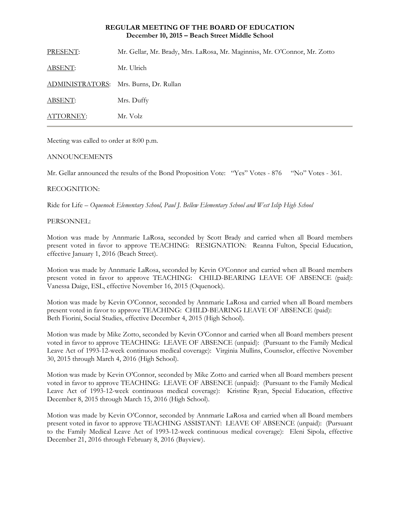# **REGULAR MEETING OF THE BOARD OF EDUCATION December 10, 2015 – Beach Street Middle School**

PRESENT: Mr. Gellar, Mr. Brady, Mrs. LaRosa, Mr. Maginniss, Mr. O'Connor, Mr. Zotto ABSENT: Mr. Ulrich ADMINISTRATORS: Mrs. Burns, Dr. Rullan ABSENT: Mrs. Duffy ATTORNEY: Mr. Volz

Meeting was called to order at 8:00 p.m.

# ANNOUNCEMENTS

Mr. Gellar announced the results of the Bond Proposition Vote: "Yes" Votes - 876 "No" Votes - 361.

# RECOGNITION:

Ride for Life – *Oquenock Elementary School, Paul J. Bellew Elementary School and West Islip High School*

# PERSONNEL:

Motion was made by Annmarie LaRosa, seconded by Scott Brady and carried when all Board members present voted in favor to approve TEACHING: RESIGNATION: Reanna Fulton, Special Education, effective January 1, 2016 (Beach Street).

Motion was made by Annmarie LaRosa, seconded by Kevin O'Connor and carried when all Board members present voted in favor to approve TEACHING: CHILD-BEARING LEAVE OF ABSENCE (paid): Vanessa Daige, ESL, effective November 16, 2015 (Oquenock).

Motion was made by Kevin O'Connor, seconded by Annmarie LaRosa and carried when all Board members present voted in favor to approve TEACHING: CHILD-BEARING LEAVE OF ABSENCE (paid): Beth Fiorini, Social Studies, effective December 4, 2015 (High School).

Motion was made by Mike Zotto, seconded by Kevin O'Connor and carried when all Board members present voted in favor to approve TEACHING: LEAVE OF ABSENCE (unpaid): (Pursuant to the Family Medical Leave Act of 1993-12-week continuous medical coverage): Virginia Mullins, Counselor, effective November 30, 2015 through March 4, 2016 (High School).

Motion was made by Kevin O'Connor, seconded by Mike Zotto and carried when all Board members present voted in favor to approve TEACHING: LEAVE OF ABSENCE (unpaid): (Pursuant to the Family Medical Leave Act of 1993-12-week continuous medical coverage): Kristine Ryan, Special Education, effective December 8, 2015 through March 15, 2016 (High School).

Motion was made by Kevin O'Connor, seconded by Annmarie LaRosa and carried when all Board members present voted in favor to approve TEACHING ASSISTANT: LEAVE OF ABSENCE (unpaid): (Pursuant to the Family Medical Leave Act of 1993-12-week continuous medical coverage): Eleni Sipola, effective December 21, 2016 through February 8, 2016 (Bayview).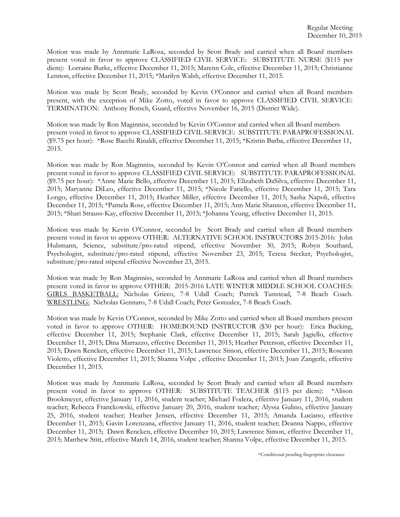Motion was made by Annmarie LaRosa, seconded by Scott Brady and carried when all Board members present voted in favor to approve CLASSIFIED CIVIL SERVICE: SUBSTITUTE NURSE (\$115 per diem): Lorraine Burke, effective December 11, 2015; Marenn Cole, effective December 11, 2015; Christianne Lennon, effective December 11, 2015; \*Marilyn Walsh, effective December 11, 2015.

Motion was made by Scott Brady, seconded by Kevin O'Connor and carried when all Board members present, with the exception of Mike Zotto, voted in favor to approve CLASSIFIED CIVIL SERVICE: TERMINATION: Anthony Botsch, Guard, effective November 16, 2015 (District Wide).

Motion was made by Ron Maginniss, seconded by Kevin O'Connor and carried when all Board members present voted in favor to approve CLASSIFIED CIVIL SERVICE: SUBSTITUTE PARAPROFESSIONAL (\$9.75 per hour): \*Rose Bacchi Rinaldi, effective December 11, 2015; \*Kristin Barba, effective December 11, 2015.

Motion was made by Ron Maginniss, seconded by Kevin O'Connor and carried when all Board members present voted in favor to approve CLASSIFIED CIVIL SERVICE: SUBSTITUTE PARAPROFESSIONAL (\$9.75 per hour): \*Anne Marie Bello, effective December 11, 2015; Elizabeth DaSilva, effective December 11, 2015; Maryanne DiLeo, effective December 11, 2015; \*Nicole Fariello, effective December 11, 2015; Tara Longo, effective December 11, 2015; Heather Miller, effective December 11, 2015; Sasha Napoli, effective December 11, 2015; \*Pamela Rose, effective December 11, 2015; Ann Marie Shannon, effective December 11, 2015; \*Shari Strauss-Kay, effective December 11, 2015; \*Johanna Yeung, effective December 11, 2015.

Motion was made by Kevin O'Connor, seconded by Scott Brady and carried when all Board members present voted in favor to approve OTHER: ALTERNATIVE SCHOOL INSTRUCTORS 2015-2016: John Hulsmann, Science, substitute/pro-rated stipend, effective November 30, 2015; Robyn Southard, Psychologist, substitute/pro-rated stipend, effective November 23, 2015; Teresa Stecker, Psychologist, substitute/pro-rated stipend effective November 23, 2015.

Motion was made by Ron Maginniss, seconded by Annmarie LaRosa and carried when all Board members present voted in favor to approve OTHER: 2015-2016 LATE WINTER MIDDLE SCHOOL COACHES: GIRLS BASKETBALL: Nicholas Grieco, 7-8 Udall Coach; Patrick Tunstead, 7-8 Beach Coach. WRESTLING: Nicholas Gennaro, 7-8 Udall Coach; Peter Gonzalez, 7-8 Beach Coach.

Motion was made by Kevin O'Connor, seconded by Mike Zotto and carried when all Board members present voted in favor to approve OTHER: HOMEBOUND INSTRUCTOR (\$30 per hour): Erica Bucking, effective December 11, 2015; Stephanie Clark, effective December 11, 2015; Sarah Jagiello, effective December 11, 2015; Dina Marrazzo, effective December 11, 2015; Heather Peterson, effective December 11, 2015; Dawn Rencken, effective December 11, 2015; Lawrence Simon, effective December 11, 2015; Roseann Violetto, effective December 11, 2015; Shanna Volpe , effective December 11, 2015; Joan Zangerle, effective December 11, 2015.

Motion was made by Annmarie LaRosa, seconded by Scott Brady and carried when all Board members present voted in favor to approve OTHER: SUBSTITUTE TEACHER (\$115 per diem): \*Alison Brookmeyer, effective January 11, 2016, student teacher; Michael Fodera, effective January 11, 2016, student teacher; Rebecca Franckowski, effective January 20, 2016, student teacher; Alyssa Gulino, effective January 25, 2016, student teacher; Heather Jensen, effective December 11, 2015; Amanda Luciano, effective December 11, 2015; Gavin Lorenzana, effective January 11, 2016, student teacher; Deanna Nappo, effective December 11, 2015; Dawn Rencken, effective December 10, 2015; Lawrence Simon, effective December 11, 2015; Matthew Stitt, effective March 14, 2016, student teacher; Shanna Volpe, effective December 11, 2015.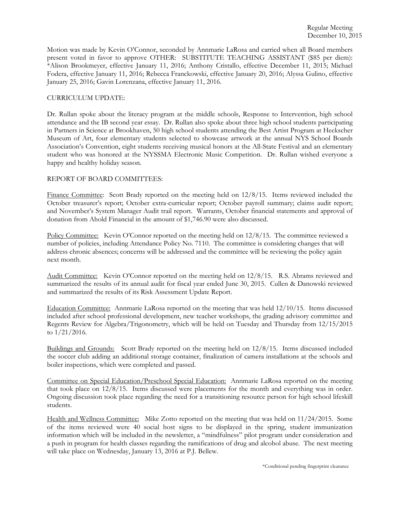Motion was made by Kevin O'Connor, seconded by Annmarie LaRosa and carried when all Board members present voted in favor to approve OTHER: SUBSTITUTE TEACHING ASSISTANT (\$85 per diem): \*Alison Brookmeyer, effective January 11, 2016; Anthony Cristallo, effective December 11, 2015; Michael Fodera, effective January 11, 2016; Rebecca Franckowski, effective January 20, 2016; Alyssa Gulino, effective January 25, 2016; Gavin Lorenzana, effective January 11, 2016.

## CURRICULUM UPDATE:

Dr. Rullan spoke about the literacy program at the middle schools, Response to Intervention, high school attendance and the IB second year essay. Dr. Rullan also spoke about three high school students participating in Partners in Science at Brookhaven, 50 high school students attending the Best Artist Program at Heckscher Museum of Art, four elementary students selected to showcase artwork at the annual NYS School Boards Association's Convention, eight students receiving musical honors at the All-State Festival and an elementary student who was honored at the NYSSMA Electronic Music Competition. Dr. Rullan wished everyone a happy and healthy holiday season.

# REPORT OF BOARD COMMITTEES:

Finance Committee: Scott Brady reported on the meeting held on 12/8/15. Items reviewed included the October treasurer's report; October extra-curricular report; October payroll summary; claims audit report; and November's System Manager Audit trail report. Warrants, October financial statements and approval of donation from Ahold Financial in the amount of \$1,746.90 were also discussed.

Policy Committee: Kevin O'Connor reported on the meeting held on  $12/8/15$ . The committee reviewed a number of policies, including Attendance Policy No. 7110. The committee is considering changes that will address chronic absences; concerns will be addressed and the committee will be reviewing the policy again next month.

Audit Committee: Kevin O'Connor reported on the meeting held on 12/8/15. R.S. Abrams reviewed and summarized the results of its annual audit for fiscal year ended June 30, 2015. Cullen & Danowski reviewed and summarized the results of its Risk Assessment Update Report.

Education Committee: Annmarie LaRosa reported on the meeting that was held 12/10/15. Items discussed included after school professional development, new teacher workshops, the grading advisory committee and Regents Review for Algebra/Trigonometry, which will be held on Tuesday and Thursday from 12/15/2015 to 1/21/2016.

Buildings and Grounds: Scott Brady reported on the meeting held on 12/8/15. Items discussed included the soccer club adding an additional storage container, finalization of camera installations at the schools and boiler inspections, which were completed and passed.

Committee on Special Education/Preschool Special Education: Annmarie LaRosa reported on the meeting that took place on 12/8/15. Items discussed were placements for the month and everything was in order. Ongoing discussion took place regarding the need for a transitioning resource person for high school lifeskill students.

Health and Wellness Committee: Mike Zotto reported on the meeting that was held on 11/24/2015. Some of the items reviewed were 40 social host signs to be displayed in the spring, student immunization information which will be included in the newsletter, a "mindfulness" pilot program under consideration and a push in program for health classes regarding the ramifications of drug and alcohol abuse. The next meeting will take place on Wednesday, January 13, 2016 at P.J. Bellew.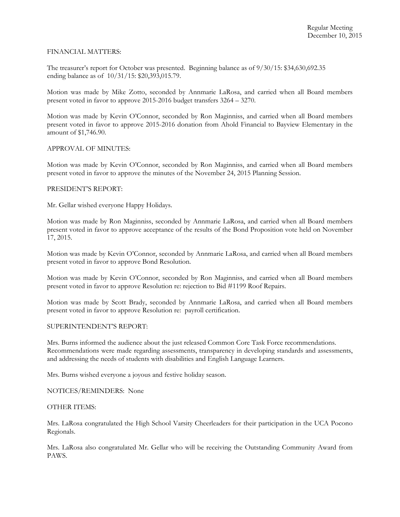## FINANCIAL MATTERS:

The treasurer's report for October was presented. Beginning balance as of 9/30/15: \$34,630,692.35 ending balance as of 10/31/15: \$20,393,015.79.

Motion was made by Mike Zotto, seconded by Annmarie LaRosa, and carried when all Board members present voted in favor to approve 2015-2016 budget transfers 3264 – 3270.

Motion was made by Kevin O'Connor, seconded by Ron Maginniss, and carried when all Board members present voted in favor to approve 2015-2016 donation from Ahold Financial to Bayview Elementary in the amount of \$1,746.90.

### APPROVAL OF MINUTES:

Motion was made by Kevin O'Connor, seconded by Ron Maginniss, and carried when all Board members present voted in favor to approve the minutes of the November 24, 2015 Planning Session.

### PRESIDENT'S REPORT:

Mr. Gellar wished everyone Happy Holidays.

Motion was made by Ron Maginniss, seconded by Annmarie LaRosa, and carried when all Board members present voted in favor to approve acceptance of the results of the Bond Proposition vote held on November 17, 2015.

Motion was made by Kevin O'Connor, seconded by Annmarie LaRosa, and carried when all Board members present voted in favor to approve Bond Resolution.

Motion was made by Kevin O'Connor, seconded by Ron Maginniss, and carried when all Board members present voted in favor to approve Resolution re: rejection to Bid #1199 Roof Repairs.

Motion was made by Scott Brady, seconded by Annmarie LaRosa, and carried when all Board members present voted in favor to approve Resolution re: payroll certification.

#### SUPERINTENDENT'S REPORT:

Mrs. Burns informed the audience about the just released Common Core Task Force recommendations. Recommendations were made regarding assessments, transparency in developing standards and assessments, and addressing the needs of students with disabilities and English Language Learners.

Mrs. Burns wished everyone a joyous and festive holiday season.

NOTICES/REMINDERS: None

#### OTHER ITEMS:

Mrs. LaRosa congratulated the High School Varsity Cheerleaders for their participation in the UCA Pocono Regionals.

Mrs. LaRosa also congratulated Mr. Gellar who will be receiving the Outstanding Community Award from PAWS.